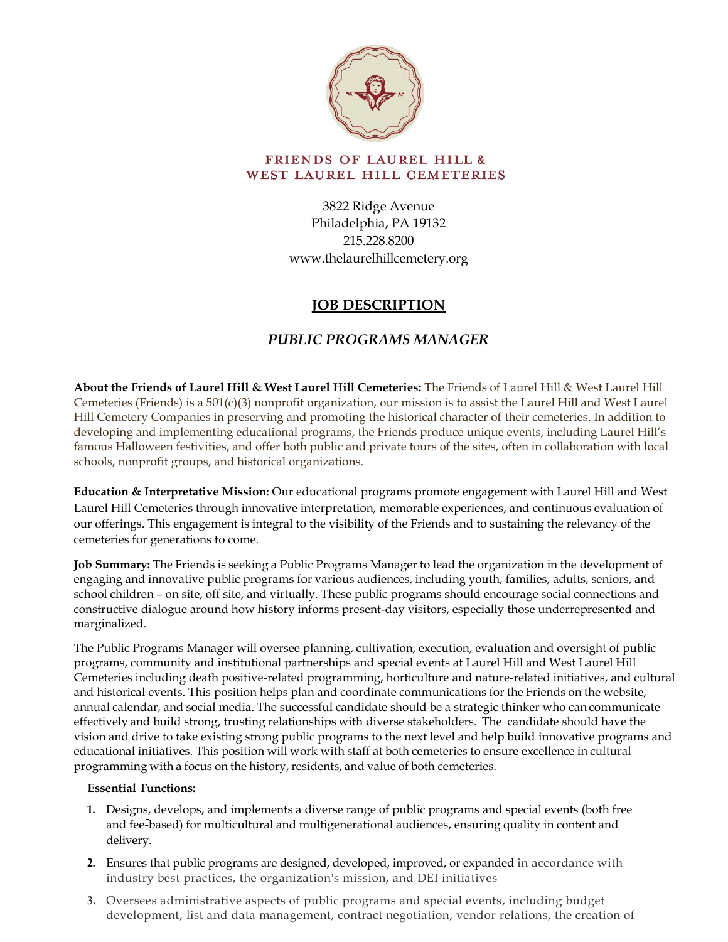

## **FRIENDS OF LAUREL HILL &** WEST LAUREL HILL CEMETERIES

3822 Ridge Avenue Philadelphia, PA 19132 215.228.8200 www.thelaurelhillcemetery.org

# **JOB DESCRIPTION**

# *PUBLIC PROGRAMS MANAGER*

**About the Friends of Laurel Hill & West Laurel Hill Cemeteries:** The Friends of Laurel Hill & West Laurel Hill Cemeteries (Friends) is a 501(c)(3) nonprofit organization, our mission is to assist the Laurel Hill and West Laurel Hill Cemetery Companies in preserving and promoting the historical character of their cemeteries. In addition to developing and implementing educational programs, the Friends produce unique events, including Laurel Hill's famous Halloween festivities, and offer both public and private tours of the sites, often in collaboration with local schools, nonprofit groups, and historical organizations.

**Education & Interpretative Mission:** Our educational programs promote engagement with Laurel Hill and West Laurel Hill Cemeteries through innovative interpretation, memorable experiences, and continuous evaluation of our offerings. This engagement is integral to the visibility of the Friends and to sustaining the relevancy of the cemeteries for generations to come.

**Job Summary:** The Friends is seeking a Public Programs Manager to lead the organization in the development of engaging and innovative public programs for various audiences, including youth, families, adults, seniors, and school children – on site, off site, and virtually. These public programs should encourage social connections and constructive dialogue around how history informs present‐day visitors, especially those underrepresented and marginalized.

The Public Programs Manager will oversee planning, cultivation, execution, evaluation and oversight of public programs, community and institutional partnerships and special events at Laurel Hill and West Laurel Hill Cemeteries including death positive‐related programming, horticulture and nature‐related initiatives, and cultural and historical events. This position helps plan and coordinate communications for the Friends on the website, annual calendar, and social media. The successful candidate should be a strategic thinker who can communicate effectively and build strong, trusting relationships with diverse stakeholders. The candidate should have the vision and drive to take existing strong public programs to the next level and help build innovative programs and educational initiatives. This position will work with staff at both cemeteries to ensure excellence in cultural programming with a focus on the history, residents, and value of both cemeteries.

### **Essential Functions:**

- **1.** Designs, develops, and implements a diverse range of public programs and special events (both free and fee-based) for multicultural and multigenerational audiences, ensuring quality in content and delivery.
- **2.** Ensures that public programs are designed, developed, improved, or expanded in accordance with industry best practices, the organization's mission, and DEI initiatives
- **3.** Oversees administrative aspects of public programs and special events, including budget development, list and data management, contract negotiation, vendor relations, the creation of